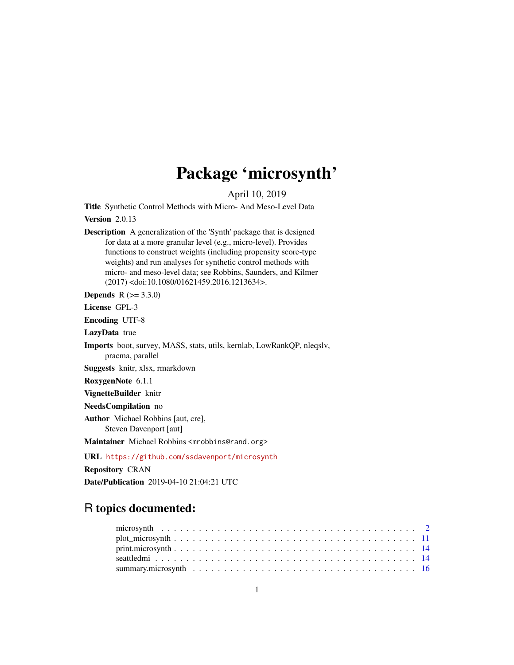## Package 'microsynth'

April 10, 2019

<span id="page-0-0"></span>Title Synthetic Control Methods with Micro- And Meso-Level Data

Version 2.0.13

Description A generalization of the 'Synth' package that is designed for data at a more granular level (e.g., micro-level). Provides functions to construct weights (including propensity score-type weights) and run analyses for synthetic control methods with micro- and meso-level data; see Robbins, Saunders, and Kilmer (2017) <doi:10.1080/01621459.2016.1213634>.

**Depends** R  $(>= 3.3.0)$ 

License GPL-3

Encoding UTF-8

LazyData true

Imports boot, survey, MASS, stats, utils, kernlab, LowRankQP, nleqslv, pracma, parallel

Suggests knitr, xlsx, rmarkdown

RoxygenNote 6.1.1

VignetteBuilder knitr

NeedsCompilation no

Author Michael Robbins [aut, cre],

Steven Davenport [aut]

Maintainer Michael Robbins <mrobbins@rand.org>

URL <https://github.com/ssdavenport/microsynth>

Repository CRAN

Date/Publication 2019-04-10 21:04:21 UTC

### R topics documented: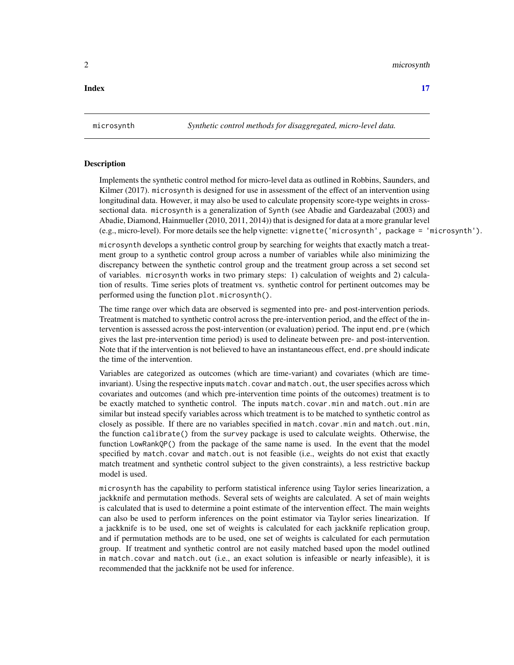#### <span id="page-1-0"></span>**Index** [17](#page-16-0)

#### Description

Implements the synthetic control method for micro-level data as outlined in Robbins, Saunders, and Kilmer (2017). microsynth is designed for use in assessment of the effect of an intervention using longitudinal data. However, it may also be used to calculate propensity score-type weights in crosssectional data. microsynth is a generalization of Synth (see Abadie and Gardeazabal (2003) and Abadie, Diamond, Hainmueller (2010, 2011, 2014)) that is designed for data at a more granular level (e.g., micro-level). For more details see the help vignette: vignette('microsynth', package = 'microsynth').

microsynth develops a synthetic control group by searching for weights that exactly match a treatment group to a synthetic control group across a number of variables while also minimizing the discrepancy between the synthetic control group and the treatment group across a set second set of variables. microsynth works in two primary steps: 1) calculation of weights and 2) calculation of results. Time series plots of treatment vs. synthetic control for pertinent outcomes may be performed using the function plot.microsynth().

The time range over which data are observed is segmented into pre- and post-intervention periods. Treatment is matched to synthetic control across the pre-intervention period, and the effect of the intervention is assessed across the post-intervention (or evaluation) period. The input end.pre (which gives the last pre-intervention time period) is used to delineate between pre- and post-intervention. Note that if the intervention is not believed to have an instantaneous effect, end.pre should indicate the time of the intervention.

Variables are categorized as outcomes (which are time-variant) and covariates (which are timeinvariant). Using the respective inputs match.covar and match.out, the user specifies across which covariates and outcomes (and which pre-intervention time points of the outcomes) treatment is to be exactly matched to synthetic control. The inputs match.covar.min and match.out.min are similar but instead specify variables across which treatment is to be matched to synthetic control as closely as possible. If there are no variables specified in match.covar.min and match.out.min, the function calibrate() from the survey package is used to calculate weights. Otherwise, the function LowRankQP() from the package of the same name is used. In the event that the model specified by match.covar and match.out is not feasible (i.e., weights do not exist that exactly match treatment and synthetic control subject to the given constraints), a less restrictive backup model is used.

microsynth has the capability to perform statistical inference using Taylor series linearization, a jackknife and permutation methods. Several sets of weights are calculated. A set of main weights is calculated that is used to determine a point estimate of the intervention effect. The main weights can also be used to perform inferences on the point estimator via Taylor series linearization. If a jackknife is to be used, one set of weights is calculated for each jackknife replication group, and if permutation methods are to be used, one set of weights is calculated for each permutation group. If treatment and synthetic control are not easily matched based upon the model outlined in match.covar and match.out (i.e., an exact solution is infeasible or nearly infeasible), it is recommended that the jackknife not be used for inference.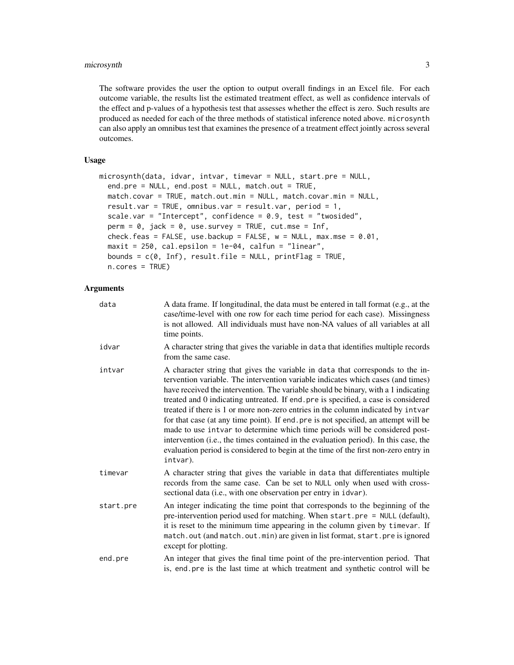#### microsynth 3

The software provides the user the option to output overall findings in an Excel file. For each outcome variable, the results list the estimated treatment effect, as well as confidence intervals of the effect and p-values of a hypothesis test that assesses whether the effect is zero. Such results are produced as needed for each of the three methods of statistical inference noted above. microsynth can also apply an omnibus test that examines the presence of a treatment effect jointly across several outcomes.

#### Usage

```
microsynth(data, idvar, intvar, timevar = NULL, start.pre = NULL,
  end.pre = NULL, end.post = NULL, match.out = TRUE,
 match.covar = TRUE, match.out.min = NULL, match.covar.min = NULL,
  result.var = TRUE, omnibus.var = result.var, period = 1,
  scale.var = "Intercept", confidence = 0.9, test = "twosided",
  perm = 0, jack = 0, use.survey = TRUE, cut.mse = Inf,
  check.feas = FALSE, use.backup = FALSE, w = NULL, max.mse = 0.01,
  maxit = 250, cal.epsilon = 1e-04, calfun = "linear",
  bounds = c(\theta, \text{Inf}), result.file = NULL, printFlag = TRUE,
  n.cores = TRUE)
```
#### **Arguments**

| data      | A data frame. If longitudinal, the data must be entered in tall format (e.g., at the<br>case/time-level with one row for each time period for each case). Missingness<br>is not allowed. All individuals must have non-NA values of all variables at all<br>time points.                                                                                                                                                                                                                                                                                                                                                                                                                                                                                                                           |
|-----------|----------------------------------------------------------------------------------------------------------------------------------------------------------------------------------------------------------------------------------------------------------------------------------------------------------------------------------------------------------------------------------------------------------------------------------------------------------------------------------------------------------------------------------------------------------------------------------------------------------------------------------------------------------------------------------------------------------------------------------------------------------------------------------------------------|
| idvar     | A character string that gives the variable in data that identifies multiple records<br>from the same case.                                                                                                                                                                                                                                                                                                                                                                                                                                                                                                                                                                                                                                                                                         |
| intvar    | A character string that gives the variable in data that corresponds to the in-<br>tervention variable. The intervention variable indicates which cases (and times)<br>have received the intervention. The variable should be binary, with a 1 indicating<br>treated and 0 indicating untreated. If end. pre is specified, a case is considered<br>treated if there is 1 or more non-zero entries in the column indicated by intvar<br>for that case (at any time point). If end pre is not specified, an attempt will be<br>made to use intvar to determine which time periods will be considered post-<br>intervention (i.e., the times contained in the evaluation period). In this case, the<br>evaluation period is considered to begin at the time of the first non-zero entry in<br>intvar). |
| timevar   | A character string that gives the variable in data that differentiates multiple<br>records from the same case. Can be set to NULL only when used with cross-<br>sectional data (i.e., with one observation per entry in idvar).                                                                                                                                                                                                                                                                                                                                                                                                                                                                                                                                                                    |
| start.pre | An integer indicating the time point that corresponds to the beginning of the<br>pre-intervention period used for matching. When start.pre = NULL (default),<br>it is reset to the minimum time appearing in the column given by timevar. If<br>match.out (and match.out.min) are given in list format, start.pre is ignored<br>except for plotting.                                                                                                                                                                                                                                                                                                                                                                                                                                               |
| end.pre   | An integer that gives the final time point of the pre-intervention period. That<br>is, end pre is the last time at which treatment and synthetic control will be                                                                                                                                                                                                                                                                                                                                                                                                                                                                                                                                                                                                                                   |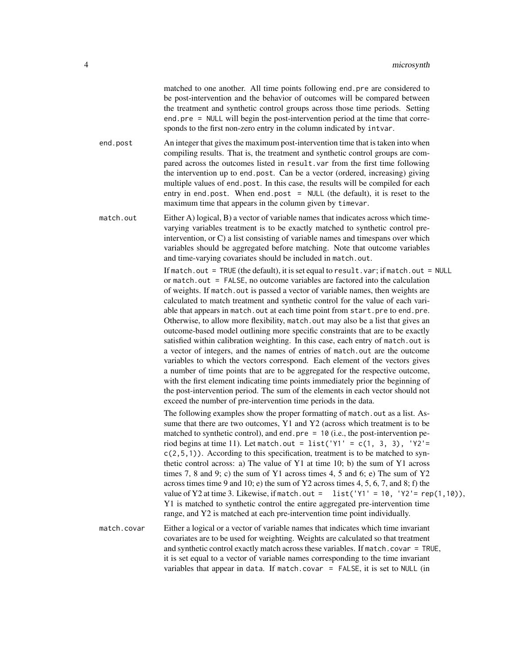matched to one another. All time points following end.pre are considered to be post-intervention and the behavior of outcomes will be compared between the treatment and synthetic control groups across those time periods. Setting end.pre = NULL will begin the post-intervention period at the time that corresponds to the first non-zero entry in the column indicated by intvar.

end.post An integer that gives the maximum post-intervention time that is taken into when compiling results. That is, the treatment and synthetic control groups are compared across the outcomes listed in result.var from the first time following the intervention up to end.post. Can be a vector (ordered, increasing) giving multiple values of end.post. In this case, the results will be compiled for each entry in end.post. When end.post = NULL (the default), it is reset to the maximum time that appears in the column given by timevar.

match.out Either A) logical, B) a vector of variable names that indicates across which timevarying variables treatment is to be exactly matched to synthetic control preintervention, or C) a list consisting of variable names and timespans over which variables should be aggregated before matching. Note that outcome variables and time-varying covariates should be included in match.out.

> If match.out = TRUE (the default), it is set equal to result.var; if match.out = NULL or match.out = FALSE, no outcome variables are factored into the calculation of weights. If match.out is passed a vector of variable names, then weights are calculated to match treatment and synthetic control for the value of each variable that appears in match.out at each time point from start.pre to end.pre. Otherwise, to allow more flexibility, match.out may also be a list that gives an outcome-based model outlining more specific constraints that are to be exactly satisfied within calibration weighting. In this case, each entry of match.out is a vector of integers, and the names of entries of match.out are the outcome variables to which the vectors correspond. Each element of the vectors gives a number of time points that are to be aggregated for the respective outcome, with the first element indicating time points immediately prior the beginning of the post-intervention period. The sum of the elements in each vector should not exceed the number of pre-intervention time periods in the data.

The following examples show the proper formatting of match.out as a list. Assume that there are two outcomes, Y1 and Y2 (across which treatment is to be matched to synthetic control), and end.pre = 10 (i.e., the post-intervention period begins at time 11). Let match.out = list(' $Y1' = c(1, 3, 3)$ , ' $Y2' =$  $c(2,5,1)$ ). According to this specification, treatment is to be matched to synthetic control across: a) The value of Y1 at time 10; b) the sum of Y1 across times 7, 8 and 9; c) the sum of Y1 across times 4, 5 and 6; e) The sum of  $Y2$ across times time 9 and 10; e) the sum of Y2 across times 4, 5, 6, 7, and 8; f) the value of Y2 at time 3. Likewise, if match.out =  $list('Y1' = 10, 'Y2' = rep(1,10)),$ Y1 is matched to synthetic control the entire aggregated pre-intervention time range, and Y2 is matched at each pre-intervention time point individually.

match.covar Either a logical or a vector of variable names that indicates which time invariant covariates are to be used for weighting. Weights are calculated so that treatment and synthetic control exactly match across these variables. If match.covar = TRUE, it is set equal to a vector of variable names corresponding to the time invariant variables that appear in data. If match.covar = FALSE, it is set to NULL (in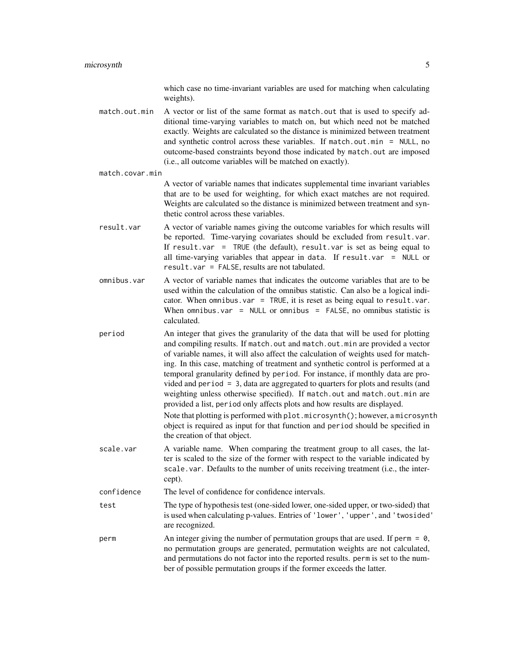which case no time-invariant variables are used for matching when calculating weights).

match.out.min A vector or list of the same format as match.out that is used to specify additional time-varying variables to match on, but which need not be matched exactly. Weights are calculated so the distance is minimized between treatment and synthetic control across these variables. If match.out.min = NULL, no outcome-based constraints beyond those indicated by match.out are imposed (i.e., all outcome variables will be matched on exactly).

#### match.covar.min

A vector of variable names that indicates supplemental time invariant variables that are to be used for weighting, for which exact matches are not required. Weights are calculated so the distance is minimized between treatment and synthetic control across these variables.

- result.var A vector of variable names giving the outcome variables for which results will be reported. Time-varying covariates should be excluded from result.var. If result.var = TRUE (the default), result.var is set as being equal to all time-varying variables that appear in data. If  $result.var = NULL or$ result.var = FALSE, results are not tabulated.
- omnibus.var A vector of variable names that indicates the outcome variables that are to be used within the calculation of the omnibus statistic. Can also be a logical indicator. When omnibus.var = TRUE, it is reset as being equal to result.var. When omnibus.var = NULL or omnibus = FALSE, no omnibus statistic is calculated.
- period An integer that gives the granularity of the data that will be used for plotting and compiling results. If match.out and match.out.min are provided a vector of variable names, it will also affect the calculation of weights used for matching. In this case, matching of treatment and synthetic control is performed at a temporal granularity defined by period. For instance, if monthly data are provided and period = 3, data are aggregated to quarters for plots and results (and weighting unless otherwise specified). If match.out and match.out.min are provided a list, period only affects plots and how results are displayed. Note that plotting is performed with plot.microsynth(); however, a microsynth object is required as input for that function and period should be specified in the creation of that object.
- scale.var A variable name. When comparing the treatment group to all cases, the latter is scaled to the size of the former with respect to the variable indicated by scale.var. Defaults to the number of units receiving treatment (i.e., the intercept).

confidence The level of confidence for confidence intervals.

- test The type of hypothesis test (one-sided lower, one-sided upper, or two-sided) that is used when calculating p-values. Entries of 'lower', 'upper', and 'twosided' are recognized.
- perm An integer giving the number of permutation groups that are used. If perm = 0, no permutation groups are generated, permutation weights are not calculated, and permutations do not factor into the reported results. perm is set to the number of possible permutation groups if the former exceeds the latter.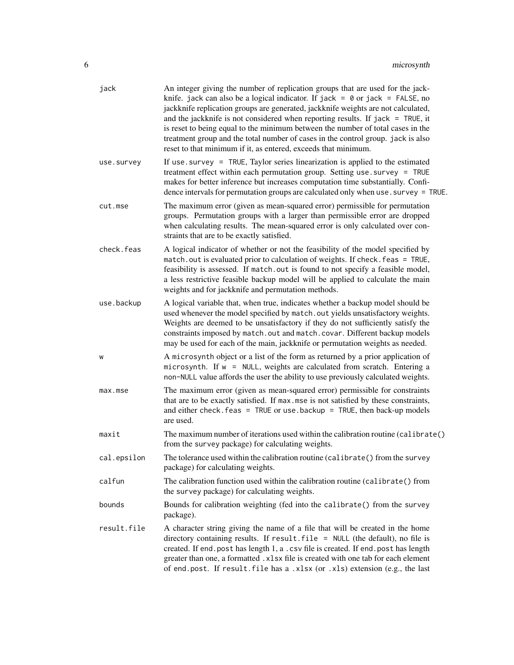| jack        | An integer giving the number of replication groups that are used for the jack-<br>knife. jack can also be a logical indicator. If jack = $\theta$ or jack = FALSE, no<br>jackknife replication groups are generated, jackknife weights are not calculated,<br>and the jackknife is not considered when reporting results. If $jack = TRUE$ , it<br>is reset to being equal to the minimum between the number of total cases in the<br>treatment group and the total number of cases in the control group. jack is also<br>reset to that minimum if it, as entered, exceeds that minimum. |
|-------------|------------------------------------------------------------------------------------------------------------------------------------------------------------------------------------------------------------------------------------------------------------------------------------------------------------------------------------------------------------------------------------------------------------------------------------------------------------------------------------------------------------------------------------------------------------------------------------------|
| use.survey  | If use $s$ survey = TRUE, Taylor series linearization is applied to the estimated<br>treatment effect within each permutation group. Setting use . survey = TRUE<br>makes for better inference but increases computation time substantially. Confi-<br>dence intervals for permutation groups are calculated only when use . survey = TRUE.                                                                                                                                                                                                                                              |
| cut.mse     | The maximum error (given as mean-squared error) permissible for permutation<br>groups. Permutation groups with a larger than permissible error are dropped<br>when calculating results. The mean-squared error is only calculated over con-<br>straints that are to be exactly satisfied.                                                                                                                                                                                                                                                                                                |
| check.feas  | A logical indicator of whether or not the feasibility of the model specified by<br>match. out is evaluated prior to calculation of weights. If check. feas = TRUE,<br>feasibility is assessed. If match.out is found to not specify a feasible model,<br>a less restrictive feasible backup model will be applied to calculate the main<br>weights and for jackknife and permutation methods.                                                                                                                                                                                            |
| use.backup  | A logical variable that, when true, indicates whether a backup model should be<br>used whenever the model specified by match. out yields unsatisfactory weights.<br>Weights are deemed to be unsatisfactory if they do not sufficiently satisfy the<br>constraints imposed by match.out and match.covar. Different backup models<br>may be used for each of the main, jackknife or permutation weights as needed.                                                                                                                                                                        |
| W           | A microsynth object or a list of the form as returned by a prior application of<br>microsynth. If w = NULL, weights are calculated from scratch. Entering a<br>non-NULL value affords the user the ability to use previously calculated weights.                                                                                                                                                                                                                                                                                                                                         |
| max.mse     | The maximum error (given as mean-squared error) permissible for constraints<br>that are to be exactly satisfied. If max mse is not satisfied by these constraints,<br>and either check. $feas = TRUE$ or use. backup = $TRUE$ , then back-up models<br>are used.                                                                                                                                                                                                                                                                                                                         |
| maxit       | The maximum number of iterations used within the calibration routine (calibrate()<br>from the survey package) for calculating weights.                                                                                                                                                                                                                                                                                                                                                                                                                                                   |
| cal.epsilon | The tolerance used within the calibration routine (calibrate() from the survey<br>package) for calculating weights.                                                                                                                                                                                                                                                                                                                                                                                                                                                                      |
| calfun      | The calibration function used within the calibration routine (calibrate() from<br>the survey package) for calculating weights.                                                                                                                                                                                                                                                                                                                                                                                                                                                           |
| bounds      | Bounds for calibration weighting (fed into the calibrate() from the survey<br>package).                                                                                                                                                                                                                                                                                                                                                                                                                                                                                                  |
| result.file | A character string giving the name of a file that will be created in the home<br>directory containing results. If result.file = NULL (the default), no file is<br>created. If end. post has length 1, a . csv file is created. If end. post has length<br>greater than one, a formatted .xlsx file is created with one tab for each element<br>of end.post. If result.file has a .xlsx (or .xls) extension (e.g., the last                                                                                                                                                               |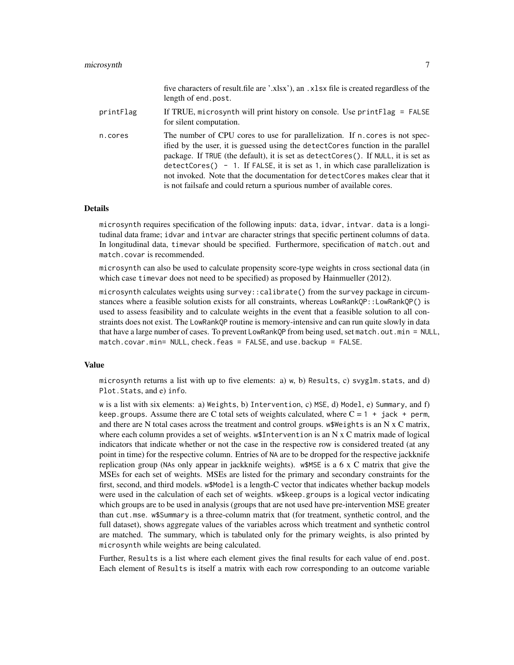|           | five characters of result.file are '.xlsx'), an .xlsx file is created regardless of the<br>length of end.post.                                                                                                                                                                                                                                                                                                                                                                                          |
|-----------|---------------------------------------------------------------------------------------------------------------------------------------------------------------------------------------------------------------------------------------------------------------------------------------------------------------------------------------------------------------------------------------------------------------------------------------------------------------------------------------------------------|
| printFlag | If TRUE, microsynth will print history on console. Use $printTag = FALSE$<br>for silent computation.                                                                                                                                                                                                                                                                                                                                                                                                    |
| n.cores   | The number of CPU cores to use for parallelization. If n. cores is not spec-<br>ified by the user, it is guessed using the detect Cores function in the parallel<br>package. If TRUE (the default), it is set as detectCores(). If NULL, it is set as<br>$detectCores() - 1$ . If FALSE, it is set as 1, in which case parallelization is<br>not invoked. Note that the documentation for detect Cores makes clear that it<br>is not fails affer and could return a spurious number of available cores. |

#### Details

microsynth requires specification of the following inputs: data, idvar, intvar. data is a longitudinal data frame; idvar and intvar are character strings that specific pertinent columns of data. In longitudinal data, timevar should be specified. Furthermore, specification of match.out and match.covar is recommended.

microsynth can also be used to calculate propensity score-type weights in cross sectional data (in which case timevar does not need to be specified) as proposed by Hainmueller (2012).

microsynth calculates weights using survey::calibrate() from the survey package in circumstances where a feasible solution exists for all constraints, whereas LowRankQP::LowRankQP() is used to assess feasibility and to calculate weights in the event that a feasible solution to all constraints does not exist. The LowRankQP routine is memory-intensive and can run quite slowly in data that have a large number of cases. To prevent LowRankQP from being used, set match.out.min = NULL, match.covar.min= NULL, check.feas = FALSE, and use.backup = FALSE.

#### Value

microsynth returns a list with up to five elements: a)  $w$ , b) Results, c) svyglm.stats, and d) Plot.Stats, and e) info.

w is a list with six elements: a) Weights, b) Intervention, c) MSE, d) Model, e) Summary, and f) keep.groups. Assume there are C total sets of weights calculated, where  $C = 1 + i$  jack + perm, and there are N total cases across the treatment and control groups. w\$Weights is an N x C matrix, where each column provides a set of weights. w\$Intervention is an N x C matrix made of logical indicators that indicate whether or not the case in the respective row is considered treated (at any point in time) for the respective column. Entries of NA are to be dropped for the respective jackknife replication group (NAs only appear in jackknife weights). w\$MSE is a 6 x C matrix that give the MSEs for each set of weights. MSEs are listed for the primary and secondary constraints for the first, second, and third models. w\$Model is a length-C vector that indicates whether backup models were used in the calculation of each set of weights. w\$keep.groups is a logical vector indicating which groups are to be used in analysis (groups that are not used have pre-intervention MSE greater than cut.mse. w\$Summary is a three-column matrix that (for treatment, synthetic control, and the full dataset), shows aggregate values of the variables across which treatment and synthetic control are matched. The summary, which is tabulated only for the primary weights, is also printed by microsynth while weights are being calculated.

Further, Results is a list where each element gives the final results for each value of end.post. Each element of Results is itself a matrix with each row corresponding to an outcome variable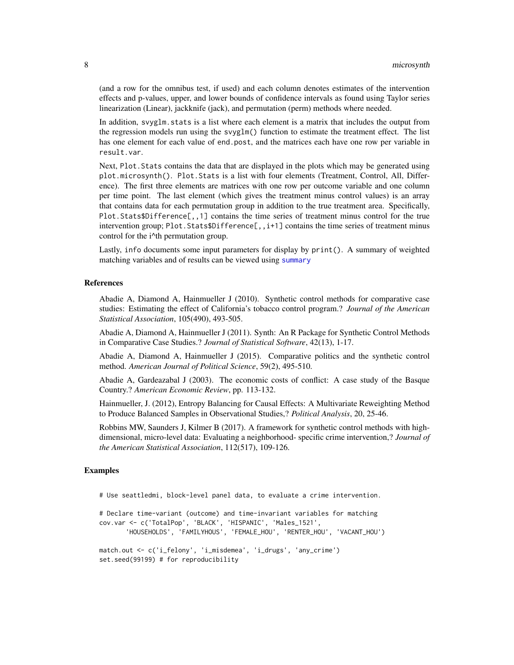(and a row for the omnibus test, if used) and each column denotes estimates of the intervention effects and p-values, upper, and lower bounds of confidence intervals as found using Taylor series linearization (Linear), jackknife (jack), and permutation (perm) methods where needed.

In addition, svyglm.stats is a list where each element is a matrix that includes the output from the regression models run using the svyglm() function to estimate the treatment effect. The list has one element for each value of end.post, and the matrices each have one row per variable in result.var.

Next, Plot.Stats contains the data that are displayed in the plots which may be generated using plot.microsynth(). Plot.Stats is a list with four elements (Treatment, Control, All, Difference). The first three elements are matrices with one row per outcome variable and one column per time point. The last element (which gives the treatment minus control values) is an array that contains data for each permutation group in addition to the true treatment area. Specifically, Plot.Stats\$Difference[,,1] contains the time series of treatment minus control for the true intervention group; Plot. Stats\$Difference[,,i+1] contains the time series of treatment minus control for the i^th permutation group.

Lastly, info documents some input parameters for display by print(). A summary of weighted matching variables and of results can be viewed using [summary](#page-0-0)

#### References

Abadie A, Diamond A, Hainmueller J (2010). Synthetic control methods for comparative case studies: Estimating the effect of California's tobacco control program.? *Journal of the American Statistical Association*, 105(490), 493-505.

Abadie A, Diamond A, Hainmueller J (2011). Synth: An R Package for Synthetic Control Methods in Comparative Case Studies.? *Journal of Statistical Software*, 42(13), 1-17.

Abadie A, Diamond A, Hainmueller J (2015). Comparative politics and the synthetic control method. *American Journal of Political Science*, 59(2), 495-510.

Abadie A, Gardeazabal J (2003). The economic costs of conflict: A case study of the Basque Country.? *American Economic Review*, pp. 113-132.

Hainmueller, J. (2012), Entropy Balancing for Causal Effects: A Multivariate Reweighting Method to Produce Balanced Samples in Observational Studies,? *Political Analysis*, 20, 25-46.

Robbins MW, Saunders J, Kilmer B (2017). A framework for synthetic control methods with highdimensional, micro-level data: Evaluating a neighborhood- specific crime intervention,? *Journal of the American Statistical Association*, 112(517), 109-126.

#### Examples

# Use seattledmi, block-level panel data, to evaluate a crime intervention.

# Declare time-variant (outcome) and time-invariant variables for matching cov.var <- c('TotalPop', 'BLACK', 'HISPANIC', 'Males\_1521', 'HOUSEHOLDS', 'FAMILYHOUS', 'FEMALE\_HOU', 'RENTER\_HOU', 'VACANT\_HOU') match.out <- c('i\_felony', 'i\_misdemea', 'i\_drugs', 'any\_crime')

```
set.seed(99199) # for reproducibility
```
<span id="page-7-0"></span>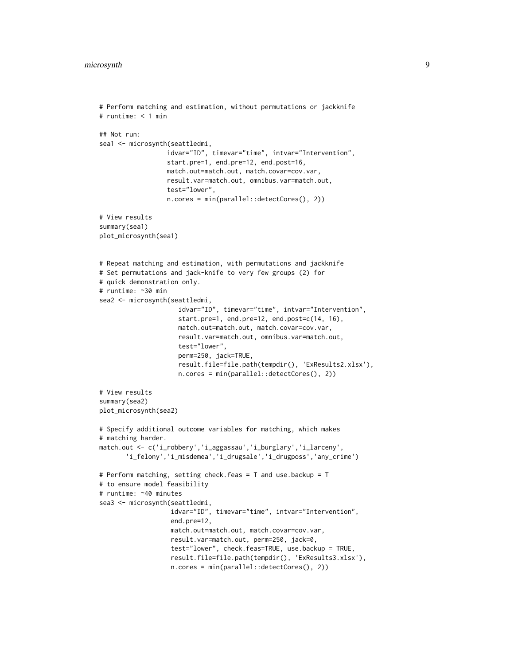```
# Perform matching and estimation, without permutations or jackknife
# runtime: < 1 min
## Not run:
sea1 <- microsynth(seattledmi,
                  idvar="ID", timevar="time", intvar="Intervention",
                  start.pre=1, end.pre=12, end.post=16,
                  match.out=match.out, match.covar=cov.var,
                  result.var=match.out, omnibus.var=match.out,
                  test="lower",
                  n.cores = min(parallel::detectCores(), 2))
# View results
summary(sea1)
plot_microsynth(sea1)
# Repeat matching and estimation, with permutations and jackknife
# Set permutations and jack-knife to very few groups (2) for
# quick demonstration only.
# runtime: ~30 min
sea2 <- microsynth(seattledmi,
                     idvar="ID", timevar="time", intvar="Intervention",
                     start.pre=1, end.pre=12, end.post=c(14, 16),
                     match.out=match.out, match.covar=cov.var,
                     result.var=match.out, omnibus.var=match.out,
                     test="lower",
                     perm=250, jack=TRUE,
                     result.file=file.path(tempdir(), 'ExResults2.xlsx'),
                     n.cores = min(parallel::detectCores(), 2))
# View results
summary(sea2)
plot_microsynth(sea2)
# Specify additional outcome variables for matching, which makes
# matching harder.
match.out <- c('i_robbery','i_aggassau','i_burglary','i_larceny',
       'i_felony','i_misdemea','i_drugsale','i_drugposs','any_crime')
# Perform matching, setting check.feas = T and use.backup = T
# to ensure model feasibility
# runtime: ~40 minutes
sea3 <- microsynth(seattledmi,
                   idvar="ID", timevar="time", intvar="Intervention",
                   end.pre=12,
                   match.out=match.out, match.covar=cov.var,
                   result.var=match.out, perm=250, jack=0,
                   test="lower", check.feas=TRUE, use.backup = TRUE,
                   result.file=file.path(tempdir(), 'ExResults3.xlsx'),
                   n.cores = min(parallel::detectCores(), 2))
```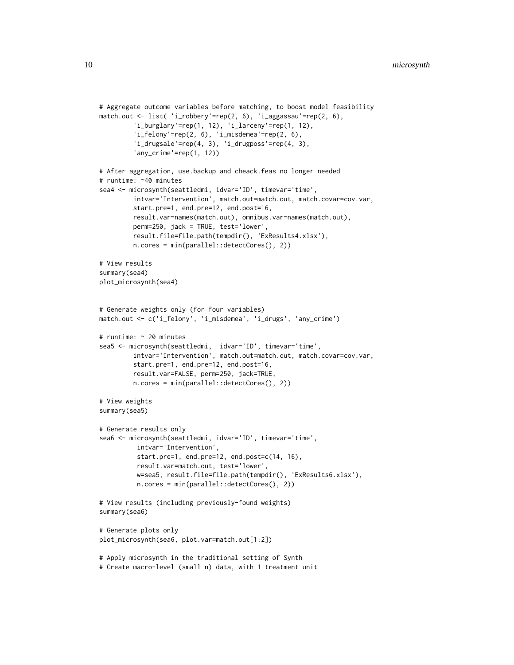```
# Aggregate outcome variables before matching, to boost model feasibility
match.out <- list( 'i_robbery'=rep(2, 6), 'i_aggassau'=rep(2, 6),
         'i_burglary'=rep(1, 12), 'i_larceny'=rep(1, 12),
         'i_felony'=rep(2, 6), 'i_misdemea'=rep(2, 6),
         'i_drugsale'=rep(4, 3), 'i_drugposs'=rep(4, 3),
         'any_crime'=rep(1, 12))
# After aggregation, use.backup and cheack.feas no longer needed
# runtime: ~40 minutes
sea4 <- microsynth(seattledmi, idvar='ID', timevar='time',
         intvar='Intervention', match.out=match.out, match.covar=cov.var,
         start.pre=1, end.pre=12, end.post=16,
         result.var=names(match.out), omnibus.var=names(match.out),
         perm=250, jack = TRUE, test='lower',
         result.file=file.path(tempdir(), 'ExResults4.xlsx'),
        n.cores = min(parallel::detectCores(), 2))
# View results
summary(sea4)
plot_microsynth(sea4)
# Generate weights only (for four variables)
match.out <- c('i_felony', 'i_misdemea', 'i_drugs', 'any_crime')
# runtime: ~ 20 minutes
sea5 <- microsynth(seattledmi, idvar='ID', timevar='time',
         intvar='Intervention', match.out=match.out, match.covar=cov.var,
         start.pre=1, end.pre=12, end.post=16,
         result.var=FALSE, perm=250, jack=TRUE,
         n.cores = min(parallel::detectCores(), 2))
# View weights
summary(sea5)
# Generate results only
sea6 <- microsynth(seattledmi, idvar='ID', timevar='time',
          intvar='Intervention',
          start.pre=1, end.pre=12, end.post=c(14, 16),
          result.var=match.out, test='lower',
          w=sea5, result.file=file.path(tempdir(), 'ExResults6.xlsx'),
          n.cores = min(parallel::detectCores(), 2))
# View results (including previously-found weights)
summary(sea6)
# Generate plots only
plot_microsynth(sea6, plot.var=match.out[1:2])
# Apply microsynth in the traditional setting of Synth
# Create macro-level (small n) data, with 1 treatment unit
```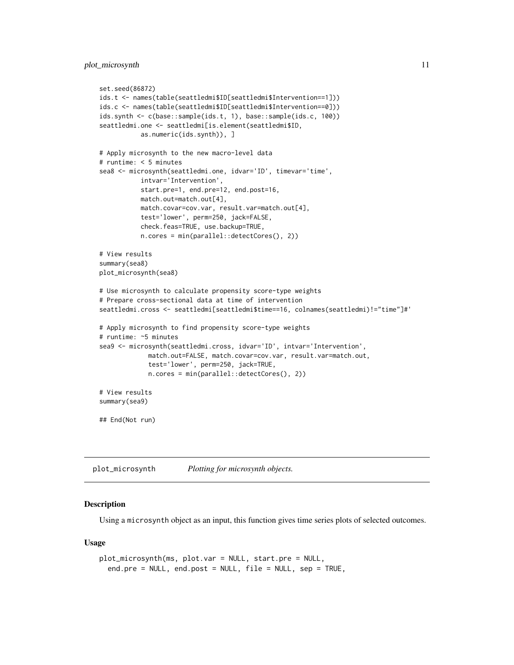```
set.seed(86872)
ids.t <- names(table(seattledmi$ID[seattledmi$Intervention==1]))
ids.c <- names(table(seattledmi$ID[seattledmi$Intervention==0]))
ids.synth <- c(base::sample(ids.t, 1), base::sample(ids.c, 100))
seattledmi.one <- seattledmi[is.element(seattledmi$ID,
           as.numeric(ids.synth)), ]
# Apply microsynth to the new macro-level data
# runtime: < 5 minutes
sea8 <- microsynth(seattledmi.one, idvar='ID', timevar='time',
           intvar='Intervention',
           start.pre=1, end.pre=12, end.post=16,
           match.out=match.out[4],
           match.covar=cov.var, result.var=match.out[4],
           test='lower', perm=250, jack=FALSE,
           check.feas=TRUE, use.backup=TRUE,
           n.cores = min(parallel::detectCores(), 2))
# View results
summary(sea8)
plot_microsynth(sea8)
# Use microsynth to calculate propensity score-type weights
# Prepare cross-sectional data at time of intervention
seattledmi.cross <- seattledmi[seattledmi$time==16, colnames(seattledmi)!="time"]#'
# Apply microsynth to find propensity score-type weights
# runtime: ~5 minutes
sea9 <- microsynth(seattledmi.cross, idvar='ID', intvar='Intervention',
            match.out=FALSE, match.covar=cov.var, result.var=match.out,
             test='lower', perm=250, jack=TRUE,
             n.cores = min(parallel::detectCores(), 2))
# View results
summary(sea9)
## End(Not run)
```
plot\_microsynth *Plotting for microsynth objects.*

#### Description

Using a microsynth object as an input, this function gives time series plots of selected outcomes.

#### Usage

```
plot_microsynth(ms, plot.var = NULL, start.pre = NULL,
  end.pre = NULL, end.post = NULL, file = NULL, sep = TRUE,
```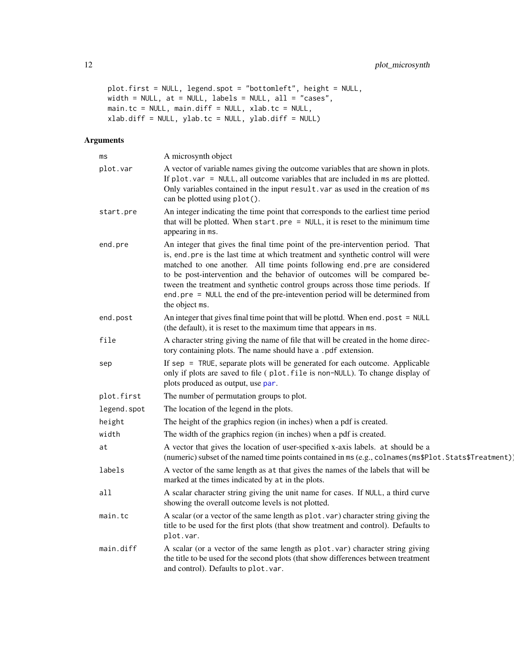```
plot.first = NULL, legend.spot = "bottomleft", height = NULL,
width = NULL, at = NULL, labels = NULL, all = "cases",
main.tc = NULL, main.diff = NULL, xlab.tc = NULL,
xlab.diff = NULL, ylab.tc = NULL, ylab.diff = NULL)
```
#### Arguments

| ms          | A microsynth object                                                                                                                                                                                                                                                                                                                                                                                                                                                                                              |
|-------------|------------------------------------------------------------------------------------------------------------------------------------------------------------------------------------------------------------------------------------------------------------------------------------------------------------------------------------------------------------------------------------------------------------------------------------------------------------------------------------------------------------------|
| plot.var    | A vector of variable names giving the outcome variables that are shown in plots.<br>If $plot \cdot var = NULL$ , all outcome variables that are included in ms are plotted.<br>Only variables contained in the input result. var as used in the creation of ms<br>can be plotted using plot().                                                                                                                                                                                                                   |
| start.pre   | An integer indicating the time point that corresponds to the earliest time period<br>that will be plotted. When $start-pre = NULL$ , it is reset to the minimum time<br>appearing in ms.                                                                                                                                                                                                                                                                                                                         |
| end.pre     | An integer that gives the final time point of the pre-intervention period. That<br>is, end pre is the last time at which treatment and synthetic control will were<br>matched to one another. All time points following end.pre are considered<br>to be post-intervention and the behavior of outcomes will be compared be-<br>tween the treatment and synthetic control groups across those time periods. If<br>end. pre = NULL the end of the pre-intevention period will be determined from<br>the object ms. |
| end.post    | An integer that gives final time point that will be plottd. When end. post = $NULL$<br>(the default), it is reset to the maximum time that appears in ms.                                                                                                                                                                                                                                                                                                                                                        |
| file        | A character string giving the name of file that will be created in the home direc-<br>tory containing plots. The name should have a .pdf extension.                                                                                                                                                                                                                                                                                                                                                              |
| sep         | If sep = TRUE, separate plots will be generated for each outcome. Applicable<br>only if plots are saved to file (plot.file is non-NULL). To change display of<br>plots produced as output, use par.                                                                                                                                                                                                                                                                                                              |
| plot.first  | The number of permutation groups to plot.                                                                                                                                                                                                                                                                                                                                                                                                                                                                        |
| legend.spot | The location of the legend in the plots.                                                                                                                                                                                                                                                                                                                                                                                                                                                                         |
| height      | The height of the graphics region (in inches) when a pdf is created.                                                                                                                                                                                                                                                                                                                                                                                                                                             |
| width       | The width of the graphics region (in inches) when a pdf is created.                                                                                                                                                                                                                                                                                                                                                                                                                                              |
| at          | A vector that gives the location of user-specified x-axis labels. at should be a<br>(numeric) subset of the named time points contained in ms (e.g., colnames (ms\$Plot. Stats\$Treatment))                                                                                                                                                                                                                                                                                                                      |
| labels      | A vector of the same length as at that gives the names of the labels that will be<br>marked at the times indicated by at in the plots.                                                                                                                                                                                                                                                                                                                                                                           |
| a11         | A scalar character string giving the unit name for cases. If NULL, a third curve<br>showing the overall outcome levels is not plotted.                                                                                                                                                                                                                                                                                                                                                                           |
| main.tc     | A scalar (or a vector of the same length as plot. var) character string giving the<br>title to be used for the first plots (that show treatment and control). Defaults to<br>plot.var.                                                                                                                                                                                                                                                                                                                           |
| main.diff   | A scalar (or a vector of the same length as plot.var) character string giving<br>the title to be used for the second plots (that show differences between treatment<br>and control). Defaults to plot.var.                                                                                                                                                                                                                                                                                                       |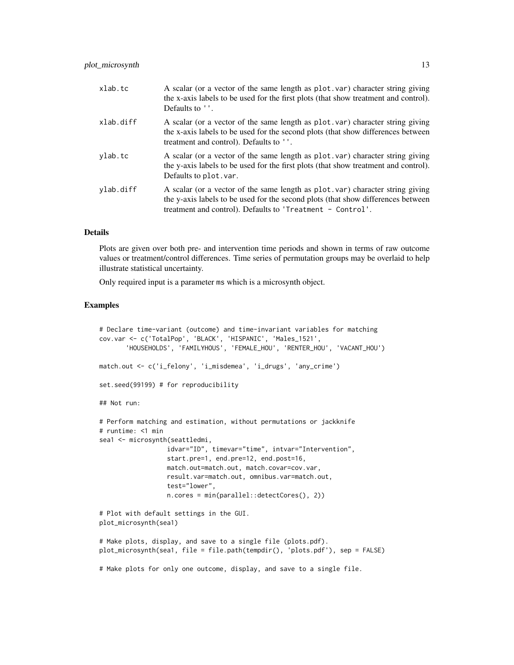| xlab.tc   | A scalar (or a vector of the same length as plot var) character string giving<br>the x-axis labels to be used for the first plots (that show treatment and control).<br>Defaults to ''.                                         |
|-----------|---------------------------------------------------------------------------------------------------------------------------------------------------------------------------------------------------------------------------------|
| xlab.diff | A scalar (or a vector of the same length as plot . var) character string giving<br>the x-axis labels to be used for the second plots (that show differences between<br>treatment and control). Defaults to ''.                  |
| ylab.tc   | A scalar (or a vector of the same length as plot var) character string giving<br>the y-axis labels to be used for the first plots (that show treatment and control).<br>Defaults to plot. var.                                  |
| ylab.diff | A scalar (or a vector of the same length as plot var) character string giving<br>the y-axis labels to be used for the second plots (that show differences between<br>treatment and control). Defaults to 'Treatment - Control'. |

#### Details

Plots are given over both pre- and intervention time periods and shown in terms of raw outcome values or treatment/control differences. Time series of permutation groups may be overlaid to help illustrate statistical uncertainty.

Only required input is a parameter ms which is a microsynth object.

#### Examples

```
# Declare time-variant (outcome) and time-invariant variables for matching
cov.var <- c('TotalPop', 'BLACK', 'HISPANIC', 'Males_1521',
       'HOUSEHOLDS', 'FAMILYHOUS', 'FEMALE_HOU', 'RENTER_HOU', 'VACANT_HOU')
match.out <- c('i_felony', 'i_misdemea', 'i_drugs', 'any_crime')
set.seed(99199) # for reproducibility
## Not run:
# Perform matching and estimation, without permutations or jackknife
# runtime: <1 min
sea1 <- microsynth(seattledmi,
                 idvar="ID", timevar="time", intvar="Intervention",
                  start.pre=1, end.pre=12, end.post=16,
                  match.out=match.out, match.covar=cov.var,
                  result.var=match.out, omnibus.var=match.out,
                  test="lower",
                  n.cores = min(parallel::detectCores(), 2))
# Plot with default settings in the GUI.
plot_microsynth(sea1)
# Make plots, display, and save to a single file (plots.pdf).
plot_microsynth(sea1, file = file.path(tempdir(), 'plots.pdf'), sep = FALSE)
# Make plots for only one outcome, display, and save to a single file.
```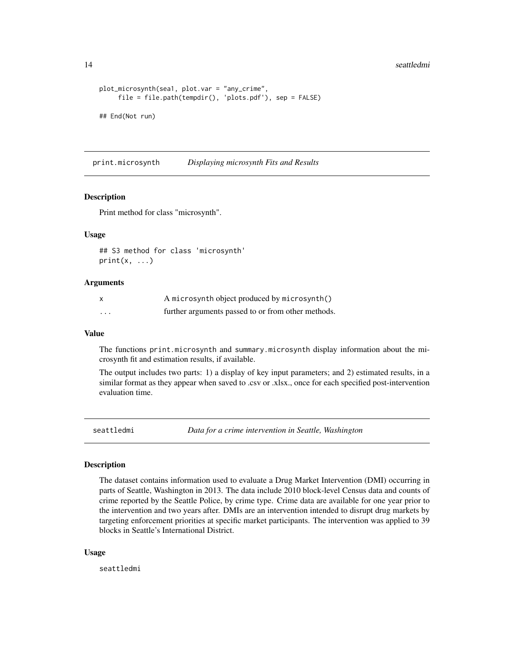#### 14 seattledmi

```
plot_microsynth(sea1, plot.var = "any_crime",
     file = file.path(tempdir(), 'plots.pdf'), sep = FALSE)
## End(Not run)
```
print.microsynth *Displaying microsynth Fits and Results*

#### Description

Print method for class "microsynth".

#### Usage

```
## S3 method for class 'microsynth'
print(x, \ldots)
```
#### **Arguments**

|          | A microsynth object produced by microsynth()       |
|----------|----------------------------------------------------|
| $\cdots$ | further arguments passed to or from other methods. |

#### Value

The functions print.microsynth and summary.microsynth display information about the microsynth fit and estimation results, if available.

The output includes two parts: 1) a display of key input parameters; and 2) estimated results, in a similar format as they appear when saved to .csv or .xlsx., once for each specified post-intervention evaluation time.

seattledmi *Data for a crime intervention in Seattle, Washington*

#### Description

The dataset contains information used to evaluate a Drug Market Intervention (DMI) occurring in parts of Seattle, Washington in 2013. The data include 2010 block-level Census data and counts of crime reported by the Seattle Police, by crime type. Crime data are available for one year prior to the intervention and two years after. DMIs are an intervention intended to disrupt drug markets by targeting enforcement priorities at specific market participants. The intervention was applied to 39 blocks in Seattle's International District.

#### Usage

seattledmi

<span id="page-13-0"></span>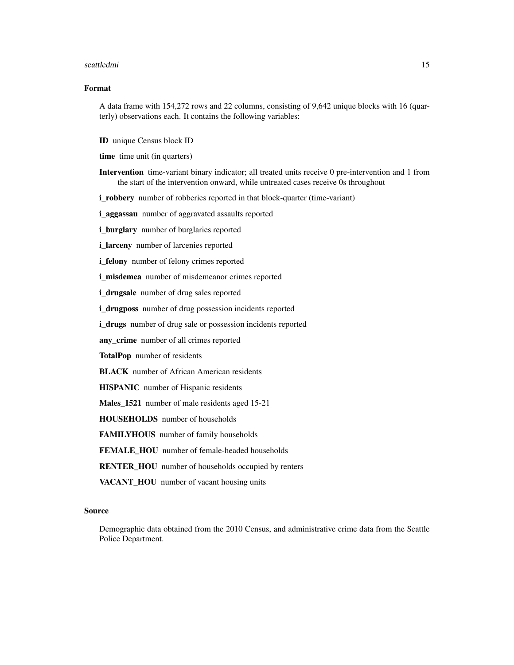#### seattledmi and the seattledmi and the seattledmi and the seattledmi and the seattledmi and the seattledmi and the seattledmi and the seattledmi and the seattledmi and the seattledmi and the seattledmi and the seattledmi an

#### Format

A data frame with 154,272 rows and 22 columns, consisting of 9,642 unique blocks with 16 (quarterly) observations each. It contains the following variables:

ID unique Census block ID

time time unit (in quarters)

Intervention time-variant binary indicator; all treated units receive 0 pre-intervention and 1 from the start of the intervention onward, while untreated cases receive 0s throughout

i\_robbery number of robberies reported in that block-quarter (time-variant)

i\_aggassau number of aggravated assaults reported

i\_burglary number of burglaries reported

i\_larceny number of larcenies reported

i\_felony number of felony crimes reported

i\_misdemea number of misdemeanor crimes reported

i drugsale number of drug sales reported

i\_drugposs number of drug possession incidents reported

i\_drugs number of drug sale or possession incidents reported

any\_crime number of all crimes reported

TotalPop number of residents

**BLACK** number of African American residents

HISPANIC number of Hispanic residents

Males\_1521 number of male residents aged 15-21

HOUSEHOLDS number of households

FAMILYHOUS number of family households

FEMALE\_HOU number of female-headed households

RENTER\_HOU number of households occupied by renters

VACANT\_HOU number of vacant housing units

#### Source

Demographic data obtained from the 2010 Census, and administrative crime data from the Seattle Police Department.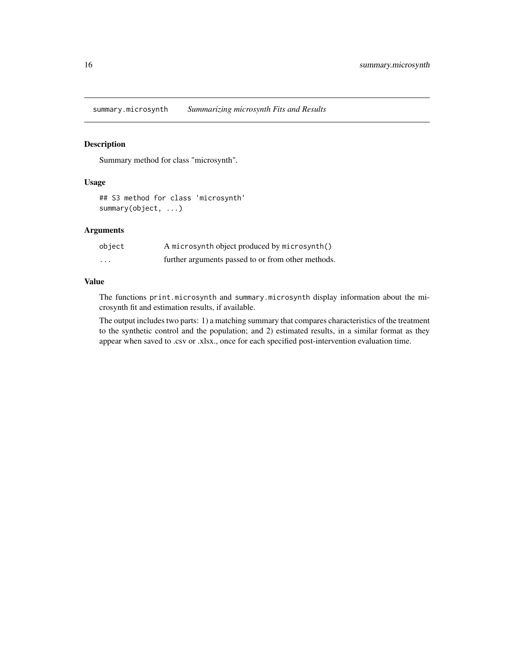<span id="page-15-0"></span>summary.microsynth *Summarizing microsynth Fits and Results*

#### Description

Summary method for class "microsynth".

#### Usage

```
## S3 method for class 'microsynth'
summary(object, ...)
```
#### Arguments

| object                  | A microsynth object produced by microsynth()       |
|-------------------------|----------------------------------------------------|
| $\cdot$ $\cdot$ $\cdot$ | further arguments passed to or from other methods. |

#### Value

The functions print.microsynth and summary.microsynth display information about the microsynth fit and estimation results, if available.

The output includes two parts: 1) a matching summary that compares characteristics of the treatment to the synthetic control and the population; and 2) estimated results, in a similar format as they appear when saved to .csv or .xlsx., once for each specified post-intervention evaluation time.